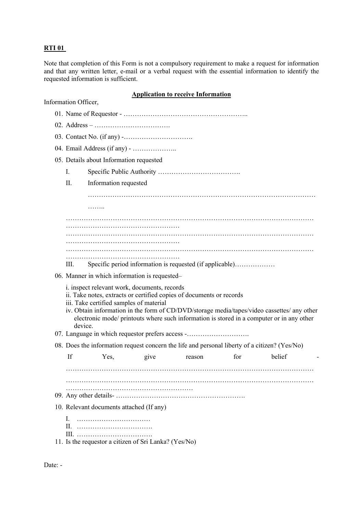## **RTI 01**

Note that completion of this Form is not a compulsory requirement to make a request for information and that any written letter, e-mail or a verbal request with the essential information to identify the requested information is sufficient.

## **Application to receive Information**

| Information Officer, |                                                                                                                                                                                                                                                                                                                                                                        |      |      |        |     |        |  |  |
|----------------------|------------------------------------------------------------------------------------------------------------------------------------------------------------------------------------------------------------------------------------------------------------------------------------------------------------------------------------------------------------------------|------|------|--------|-----|--------|--|--|
|                      |                                                                                                                                                                                                                                                                                                                                                                        |      |      |        |     |        |  |  |
|                      |                                                                                                                                                                                                                                                                                                                                                                        |      |      |        |     |        |  |  |
|                      |                                                                                                                                                                                                                                                                                                                                                                        |      |      |        |     |        |  |  |
|                      |                                                                                                                                                                                                                                                                                                                                                                        |      |      |        |     |        |  |  |
|                      | 05. Details about Information requested                                                                                                                                                                                                                                                                                                                                |      |      |        |     |        |  |  |
|                      | Ι.                                                                                                                                                                                                                                                                                                                                                                     |      |      |        |     |        |  |  |
|                      | II.<br>Information requested                                                                                                                                                                                                                                                                                                                                           |      |      |        |     |        |  |  |
|                      |                                                                                                                                                                                                                                                                                                                                                                        |      |      |        |     |        |  |  |
|                      | .                                                                                                                                                                                                                                                                                                                                                                      |      |      |        |     |        |  |  |
|                      |                                                                                                                                                                                                                                                                                                                                                                        |      |      |        |     |        |  |  |
|                      |                                                                                                                                                                                                                                                                                                                                                                        |      |      |        |     |        |  |  |
|                      |                                                                                                                                                                                                                                                                                                                                                                        |      |      |        |     |        |  |  |
|                      |                                                                                                                                                                                                                                                                                                                                                                        |      |      |        |     |        |  |  |
|                      | Specific period information is requested (if applicable)<br>Ш.                                                                                                                                                                                                                                                                                                         |      |      |        |     |        |  |  |
|                      | 06. Manner in which information is requested-                                                                                                                                                                                                                                                                                                                          |      |      |        |     |        |  |  |
|                      | i. inspect relevant work, documents, records<br>ii. Take notes, extracts or certified copies of documents or records<br>iii. Take certified samples of material<br>iv. Obtain information in the form of CD/DVD/storage media/tapes/video cassettes/ any other<br>electronic mode/ printouts where such information is stored in a computer or in any other<br>device. |      |      |        |     |        |  |  |
|                      | 07. Language in which requestor prefers access -                                                                                                                                                                                                                                                                                                                       |      |      |        |     |        |  |  |
|                      | 08. Does the information request concern the life and personal liberty of a citizen? (Yes/No)                                                                                                                                                                                                                                                                          |      |      |        |     |        |  |  |
|                      | If                                                                                                                                                                                                                                                                                                                                                                     | Yes, | give | reason | for | belief |  |  |
|                      |                                                                                                                                                                                                                                                                                                                                                                        |      |      |        |     |        |  |  |
|                      |                                                                                                                                                                                                                                                                                                                                                                        |      |      |        |     |        |  |  |
|                      |                                                                                                                                                                                                                                                                                                                                                                        |      |      |        |     |        |  |  |
|                      | 10. Relevant documents attached (If any)                                                                                                                                                                                                                                                                                                                               |      |      |        |     |        |  |  |
|                      | L                                                                                                                                                                                                                                                                                                                                                                      |      |      |        |     |        |  |  |
|                      | 11. Is the requestor a citizen of Sri Lanka? (Yes/No)                                                                                                                                                                                                                                                                                                                  |      |      |        |     |        |  |  |

Date: -